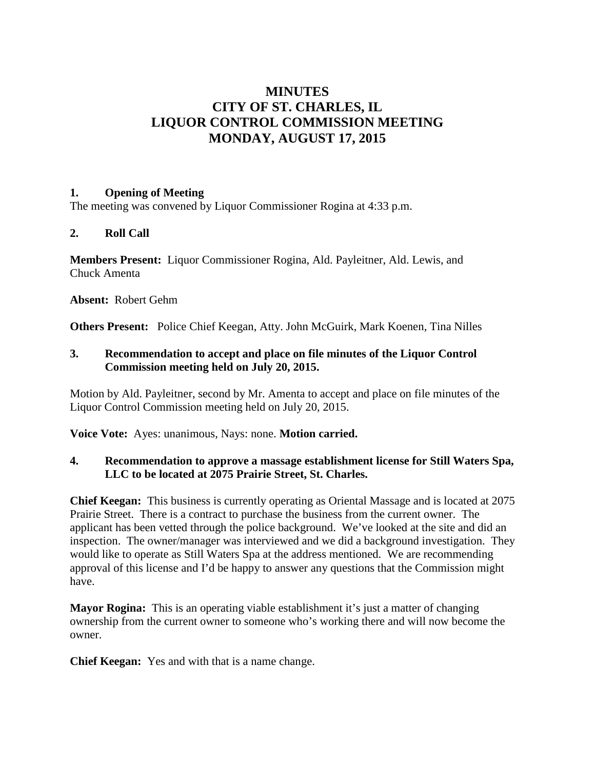# **MINUTES CITY OF ST. CHARLES, IL LIQUOR CONTROL COMMISSION MEETING MONDAY, AUGUST 17, 2015**

### **1. Opening of Meeting**

The meeting was convened by Liquor Commissioner Rogina at 4:33 p.m.

# **2. Roll Call**

**Members Present:** Liquor Commissioner Rogina, Ald. Payleitner, Ald. Lewis, and Chuck Amenta

**Absent:** Robert Gehm

**Others Present:** Police Chief Keegan, Atty. John McGuirk, Mark Koenen, Tina Nilles

## **3. Recommendation to accept and place on file minutes of the Liquor Control Commission meeting held on July 20, 2015.**

Motion by Ald. Payleitner, second by Mr. Amenta to accept and place on file minutes of the Liquor Control Commission meeting held on July 20, 2015.

**Voice Vote:** Ayes: unanimous, Nays: none. **Motion carried.**

## **4. Recommendation to approve a massage establishment license for Still Waters Spa, LLC to be located at 2075 Prairie Street, St. Charles.**

**Chief Keegan:** This business is currently operating as Oriental Massage and is located at 2075 Prairie Street. There is a contract to purchase the business from the current owner. The applicant has been vetted through the police background. We've looked at the site and did an inspection. The owner/manager was interviewed and we did a background investigation. They would like to operate as Still Waters Spa at the address mentioned. We are recommending approval of this license and I'd be happy to answer any questions that the Commission might have.

**Mayor Rogina:** This is an operating viable establishment it's just a matter of changing ownership from the current owner to someone who's working there and will now become the owner.

**Chief Keegan:** Yes and with that is a name change.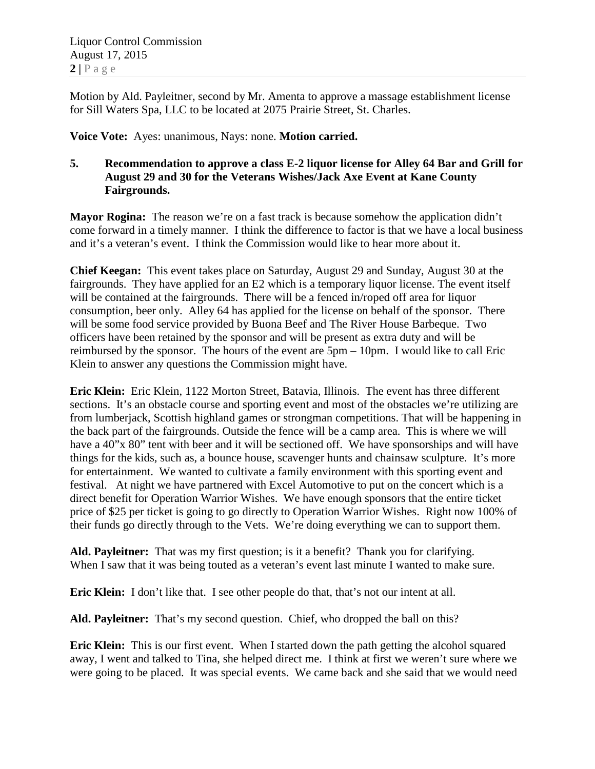Liquor Control Commission August 17, 2015  $2 | P \text{ a } \text{ g } e$ 

Motion by Ald. Payleitner, second by Mr. Amenta to approve a massage establishment license for Sill Waters Spa, LLC to be located at 2075 Prairie Street, St. Charles.

**Voice Vote:** Ayes: unanimous, Nays: none. **Motion carried.**

# **5. Recommendation to approve a class E-2 liquor license for Alley 64 Bar and Grill for August 29 and 30 for the Veterans Wishes/Jack Axe Event at Kane County Fairgrounds.**

**Mayor Rogina:** The reason we're on a fast track is because somehow the application didn't come forward in a timely manner. I think the difference to factor is that we have a local business and it's a veteran's event. I think the Commission would like to hear more about it.

**Chief Keegan:** This event takes place on Saturday, August 29 and Sunday, August 30 at the fairgrounds. They have applied for an E2 which is a temporary liquor license. The event itself will be contained at the fairgrounds. There will be a fenced in/roped off area for liquor consumption, beer only. Alley 64 has applied for the license on behalf of the sponsor. There will be some food service provided by Buona Beef and The River House Barbeque. Two officers have been retained by the sponsor and will be present as extra duty and will be reimbursed by the sponsor. The hours of the event are 5pm – 10pm. I would like to call Eric Klein to answer any questions the Commission might have.

**Eric Klein:** Eric Klein, 1122 Morton Street, Batavia, Illinois. The event has three different sections. It's an obstacle course and sporting event and most of the obstacles we're utilizing are from lumberjack, Scottish highland games or strongman competitions. That will be happening in the back part of the fairgrounds. Outside the fence will be a camp area. This is where we will have a 40"x 80" tent with beer and it will be sectioned off. We have sponsorships and will have things for the kids, such as, a bounce house, scavenger hunts and chainsaw sculpture. It's more for entertainment. We wanted to cultivate a family environment with this sporting event and festival. At night we have partnered with Excel Automotive to put on the concert which is a direct benefit for Operation Warrior Wishes. We have enough sponsors that the entire ticket price of \$25 per ticket is going to go directly to Operation Warrior Wishes. Right now 100% of their funds go directly through to the Vets. We're doing everything we can to support them.

**Ald. Payleitner:** That was my first question; is it a benefit? Thank you for clarifying. When I saw that it was being touted as a veteran's event last minute I wanted to make sure.

**Eric Klein:** I don't like that. I see other people do that, that's not our intent at all.

**Ald. Payleitner:** That's my second question. Chief, who dropped the ball on this?

**Eric Klein:** This is our first event. When I started down the path getting the alcohol squared away, I went and talked to Tina, she helped direct me. I think at first we weren't sure where we were going to be placed. It was special events. We came back and she said that we would need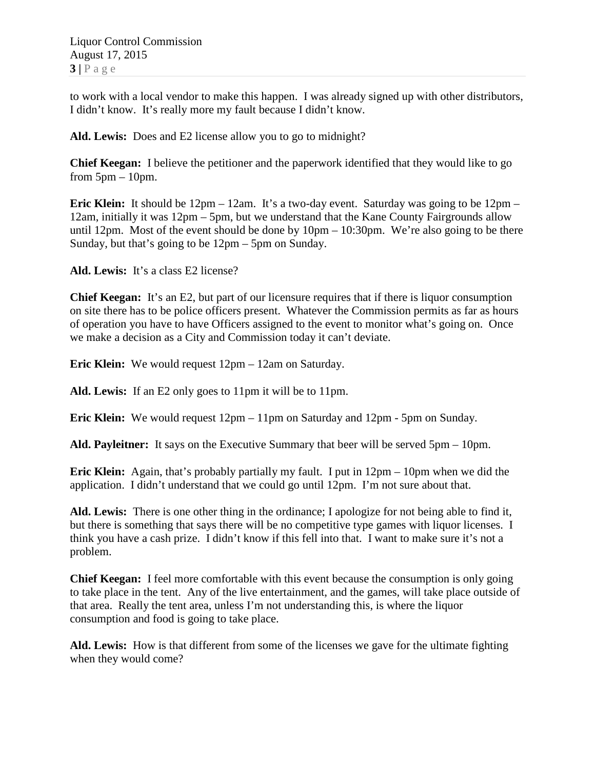to work with a local vendor to make this happen. I was already signed up with other distributors, I didn't know. It's really more my fault because I didn't know.

**Ald. Lewis:** Does and E2 license allow you to go to midnight?

**Chief Keegan:** I believe the petitioner and the paperwork identified that they would like to go from  $5pm - 10pm$ .

**Eric Klein:** It should be 12pm – 12am. It's a two-day event. Saturday was going to be 12pm – 12am, initially it was 12pm – 5pm, but we understand that the Kane County Fairgrounds allow until 12pm. Most of the event should be done by  $10 \text{pm} - 10:30 \text{pm}$ . We're also going to be there Sunday, but that's going to be 12pm – 5pm on Sunday.

**Ald. Lewis:** It's a class E2 license?

**Chief Keegan:** It's an E2, but part of our licensure requires that if there is liquor consumption on site there has to be police officers present. Whatever the Commission permits as far as hours of operation you have to have Officers assigned to the event to monitor what's going on. Once we make a decision as a City and Commission today it can't deviate.

**Eric Klein:** We would request 12pm – 12am on Saturday.

**Ald. Lewis:** If an E2 only goes to 11pm it will be to 11pm.

**Eric Klein:** We would request 12pm – 11pm on Saturday and 12pm - 5pm on Sunday.

**Ald. Payleitner:** It says on the Executive Summary that beer will be served 5pm – 10pm.

**Eric Klein:** Again, that's probably partially my fault. I put in 12pm – 10pm when we did the application. I didn't understand that we could go until 12pm. I'm not sure about that.

**Ald. Lewis:** There is one other thing in the ordinance; I apologize for not being able to find it, but there is something that says there will be no competitive type games with liquor licenses. I think you have a cash prize. I didn't know if this fell into that. I want to make sure it's not a problem.

**Chief Keegan:** I feel more comfortable with this event because the consumption is only going to take place in the tent. Any of the live entertainment, and the games, will take place outside of that area. Really the tent area, unless I'm not understanding this, is where the liquor consumption and food is going to take place.

**Ald. Lewis:** How is that different from some of the licenses we gave for the ultimate fighting when they would come?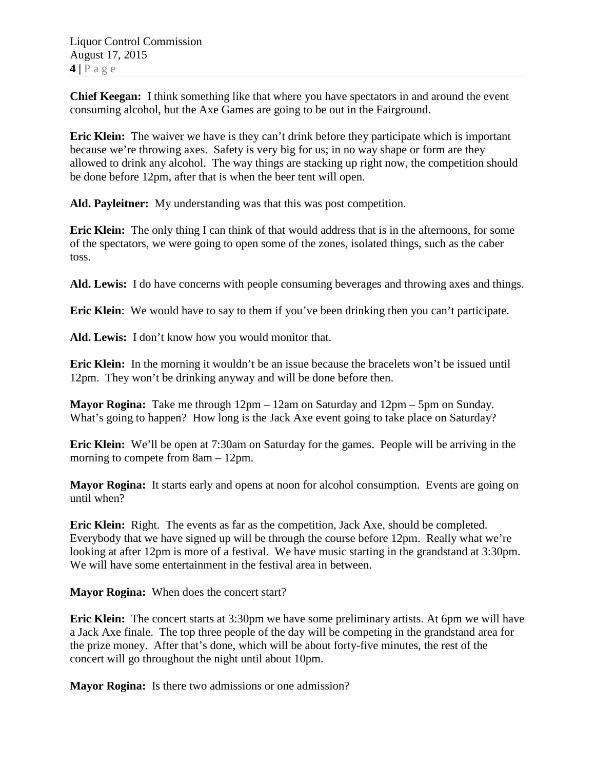**Chief Keegan:** I think something like that where you have spectators in and around the event consuming alcohol, but the Axe Games are going to be out in the Fairground.

**Eric Klein:** The waiver we have is they can't drink before they participate which is important because we're throwing axes. Safety is very big for us; in no way shape or form are they allowed to drink any alcohol. The way things are stacking up right now, the competition should be done before 12pm, after that is when the beer tent will open.

**Ald. Payleitner:** My understanding was that this was post competition.

**Eric Klein:** The only thing I can think of that would address that is in the afternoons, for some of the spectators, we were going to open some of the zones, isolated things, such as the caber toss.

**Ald. Lewis:** I do have concerns with people consuming beverages and throwing axes and things.

**Eric Klein**: We would have to say to them if you've been drinking then you can't participate.

**Ald. Lewis:** I don't know how you would monitor that.

**Eric Klein:** In the morning it wouldn't be an issue because the bracelets won't be issued until 12pm. They won't be drinking anyway and will be done before then.

**Mayor Rogina:** Take me through 12pm – 12am on Saturday and 12pm – 5pm on Sunday. What's going to happen? How long is the Jack Axe event going to take place on Saturday?

**Eric Klein:** We'll be open at 7:30am on Saturday for the games. People will be arriving in the morning to compete from 8am – 12pm.

**Mayor Rogina:** It starts early and opens at noon for alcohol consumption. Events are going on until when?

**Eric Klein:** Right. The events as far as the competition, Jack Axe, should be completed. Everybody that we have signed up will be through the course before 12pm. Really what we're looking at after 12pm is more of a festival. We have music starting in the grandstand at 3:30pm. We will have some entertainment in the festival area in between.

**Mayor Rogina:** When does the concert start?

**Eric Klein:** The concert starts at 3:30pm we have some preliminary artists. At 6pm we will have a Jack Axe finale. The top three people of the day will be competing in the grandstand area for the prize money. After that's done, which will be about forty-five minutes, the rest of the concert will go throughout the night until about 10pm.

**Mayor Rogina:** Is there two admissions or one admission?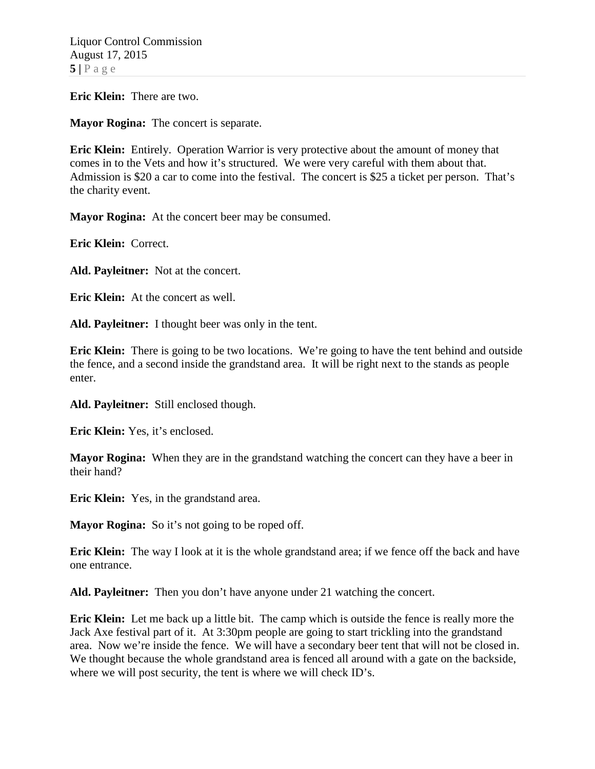**Eric Klein:** There are two.

**Mayor Rogina:** The concert is separate.

**Eric Klein:** Entirely. Operation Warrior is very protective about the amount of money that comes in to the Vets and how it's structured. We were very careful with them about that. Admission is \$20 a car to come into the festival. The concert is \$25 a ticket per person. That's the charity event.

**Mayor Rogina:** At the concert beer may be consumed.

**Eric Klein:** Correct.

**Ald. Payleitner:** Not at the concert.

**Eric Klein:** At the concert as well.

**Ald. Payleitner:** I thought beer was only in the tent.

**Eric Klein:** There is going to be two locations. We're going to have the tent behind and outside the fence, and a second inside the grandstand area. It will be right next to the stands as people enter.

**Ald. Payleitner:** Still enclosed though.

**Eric Klein:** Yes, it's enclosed.

**Mayor Rogina:** When they are in the grandstand watching the concert can they have a beer in their hand?

**Eric Klein:** Yes, in the grandstand area.

**Mayor Rogina:** So it's not going to be roped off.

**Eric Klein:** The way I look at it is the whole grandstand area; if we fence off the back and have one entrance.

**Ald. Payleitner:** Then you don't have anyone under 21 watching the concert.

**Eric Klein:** Let me back up a little bit. The camp which is outside the fence is really more the Jack Axe festival part of it. At 3:30pm people are going to start trickling into the grandstand area. Now we're inside the fence. We will have a secondary beer tent that will not be closed in. We thought because the whole grandstand area is fenced all around with a gate on the backside, where we will post security, the tent is where we will check ID's.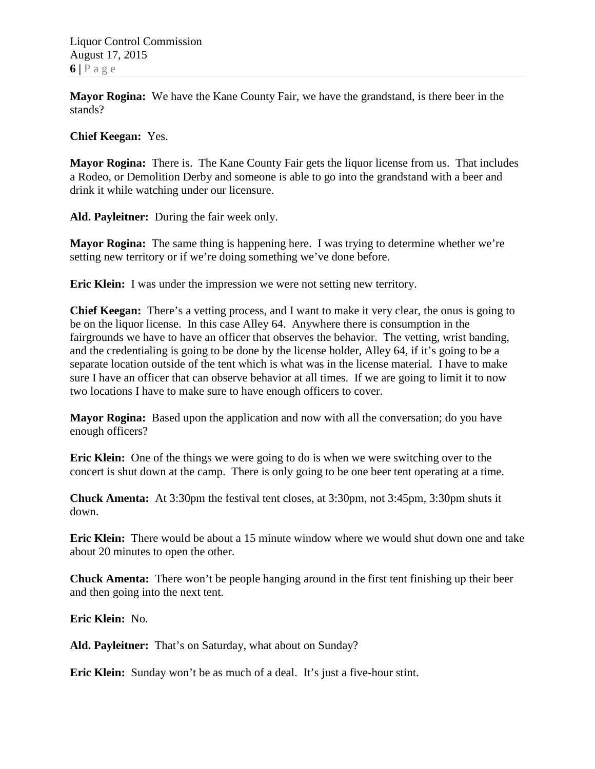**Mayor Rogina:** We have the Kane County Fair, we have the grandstand, is there beer in the stands?

**Chief Keegan:** Yes.

**Mayor Rogina:** There is. The Kane County Fair gets the liquor license from us. That includes a Rodeo, or Demolition Derby and someone is able to go into the grandstand with a beer and drink it while watching under our licensure.

**Ald. Payleitner:** During the fair week only.

**Mayor Rogina:** The same thing is happening here. I was trying to determine whether we're setting new territory or if we're doing something we've done before.

**Eric Klein:** I was under the impression we were not setting new territory.

**Chief Keegan:** There's a vetting process, and I want to make it very clear, the onus is going to be on the liquor license. In this case Alley 64. Anywhere there is consumption in the fairgrounds we have to have an officer that observes the behavior. The vetting, wrist banding, and the credentialing is going to be done by the license holder, Alley 64, if it's going to be a separate location outside of the tent which is what was in the license material. I have to make sure I have an officer that can observe behavior at all times. If we are going to limit it to now two locations I have to make sure to have enough officers to cover.

**Mayor Rogina:** Based upon the application and now with all the conversation; do you have enough officers?

**Eric Klein:** One of the things we were going to do is when we were switching over to the concert is shut down at the camp. There is only going to be one beer tent operating at a time.

**Chuck Amenta:** At 3:30pm the festival tent closes, at 3:30pm, not 3:45pm, 3:30pm shuts it down.

**Eric Klein:** There would be about a 15 minute window where we would shut down one and take about 20 minutes to open the other.

**Chuck Amenta:** There won't be people hanging around in the first tent finishing up their beer and then going into the next tent.

**Eric Klein:** No.

**Ald. Payleitner:** That's on Saturday, what about on Sunday?

**Eric Klein:** Sunday won't be as much of a deal. It's just a five-hour stint.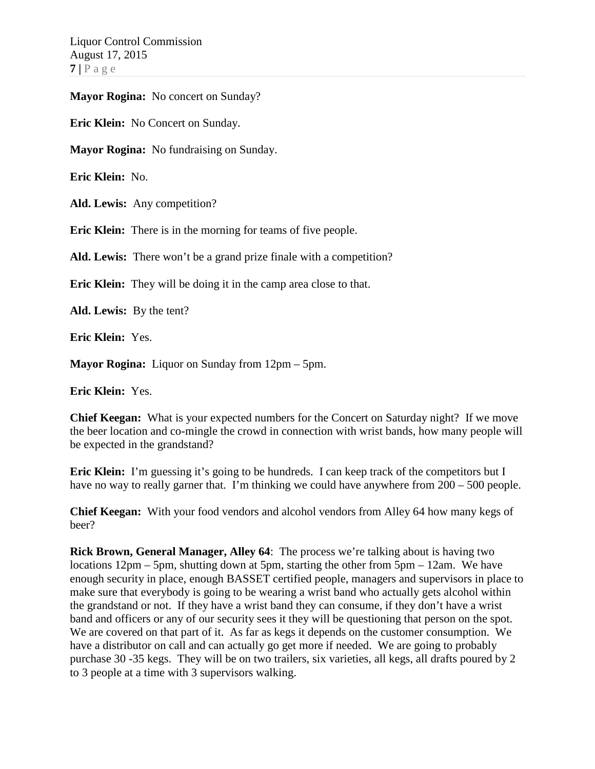**Mayor Rogina:** No concert on Sunday?

**Eric Klein:** No Concert on Sunday.

**Mayor Rogina:** No fundraising on Sunday.

**Eric Klein:** No.

Ald. Lewis: Any competition?

**Eric Klein:** There is in the morning for teams of five people.

**Ald. Lewis:** There won't be a grand prize finale with a competition?

**Eric Klein:** They will be doing it in the camp area close to that.

**Ald. Lewis:** By the tent?

**Eric Klein:** Yes.

**Mayor Rogina:** Liquor on Sunday from 12pm – 5pm.

**Eric Klein:** Yes.

**Chief Keegan:** What is your expected numbers for the Concert on Saturday night? If we move the beer location and co-mingle the crowd in connection with wrist bands, how many people will be expected in the grandstand?

**Eric Klein:** I'm guessing it's going to be hundreds. I can keep track of the competitors but I have no way to really garner that. I'm thinking we could have anywhere from  $200 - 500$  people.

**Chief Keegan:** With your food vendors and alcohol vendors from Alley 64 how many kegs of beer?

**Rick Brown, General Manager, Alley 64**: The process we're talking about is having two locations 12pm – 5pm, shutting down at 5pm, starting the other from 5pm – 12am. We have enough security in place, enough BASSET certified people, managers and supervisors in place to make sure that everybody is going to be wearing a wrist band who actually gets alcohol within the grandstand or not. If they have a wrist band they can consume, if they don't have a wrist band and officers or any of our security sees it they will be questioning that person on the spot. We are covered on that part of it. As far as kegs it depends on the customer consumption. We have a distributor on call and can actually go get more if needed. We are going to probably purchase 30 -35 kegs. They will be on two trailers, six varieties, all kegs, all drafts poured by 2 to 3 people at a time with 3 supervisors walking.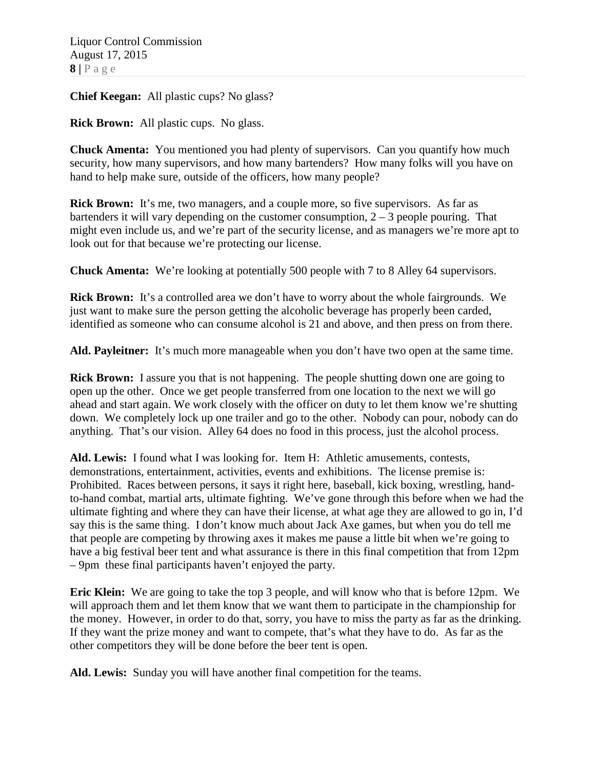**Chief Keegan:** All plastic cups? No glass?

**Rick Brown:** All plastic cups. No glass.

**Chuck Amenta:** You mentioned you had plenty of supervisors. Can you quantify how much security, how many supervisors, and how many bartenders? How many folks will you have on hand to help make sure, outside of the officers, how many people?

**Rick Brown:** It's me, two managers, and a couple more, so five supervisors. As far as bartenders it will vary depending on the customer consumption,  $2 - 3$  people pouring. That might even include us, and we're part of the security license, and as managers we're more apt to look out for that because we're protecting our license.

**Chuck Amenta:** We're looking at potentially 500 people with 7 to 8 Alley 64 supervisors.

**Rick Brown:** It's a controlled area we don't have to worry about the whole fairgrounds. We just want to make sure the person getting the alcoholic beverage has properly been carded, identified as someone who can consume alcohol is 21 and above, and then press on from there.

**Ald. Payleitner:** It's much more manageable when you don't have two open at the same time.

**Rick Brown:** I assure you that is not happening. The people shutting down one are going to open up the other. Once we get people transferred from one location to the next we will go ahead and start again. We work closely with the officer on duty to let them know we're shutting down. We completely lock up one trailer and go to the other. Nobody can pour, nobody can do anything. That's our vision. Alley 64 does no food in this process, just the alcohol process.

**Ald. Lewis:** I found what I was looking for. Item H: Athletic amusements, contests, demonstrations, entertainment, activities, events and exhibitions. The license premise is: Prohibited. Races between persons, it says it right here, baseball, kick boxing, wrestling, handto-hand combat, martial arts, ultimate fighting. We've gone through this before when we had the ultimate fighting and where they can have their license, at what age they are allowed to go in, I'd say this is the same thing. I don't know much about Jack Axe games, but when you do tell me that people are competing by throwing axes it makes me pause a little bit when we're going to have a big festival beer tent and what assurance is there in this final competition that from 12pm – 9pm these final participants haven't enjoyed the party.

**Eric Klein:** We are going to take the top 3 people, and will know who that is before 12pm. We will approach them and let them know that we want them to participate in the championship for the money. However, in order to do that, sorry, you have to miss the party as far as the drinking. If they want the prize money and want to compete, that's what they have to do. As far as the other competitors they will be done before the beer tent is open.

**Ald. Lewis:** Sunday you will have another final competition for the teams.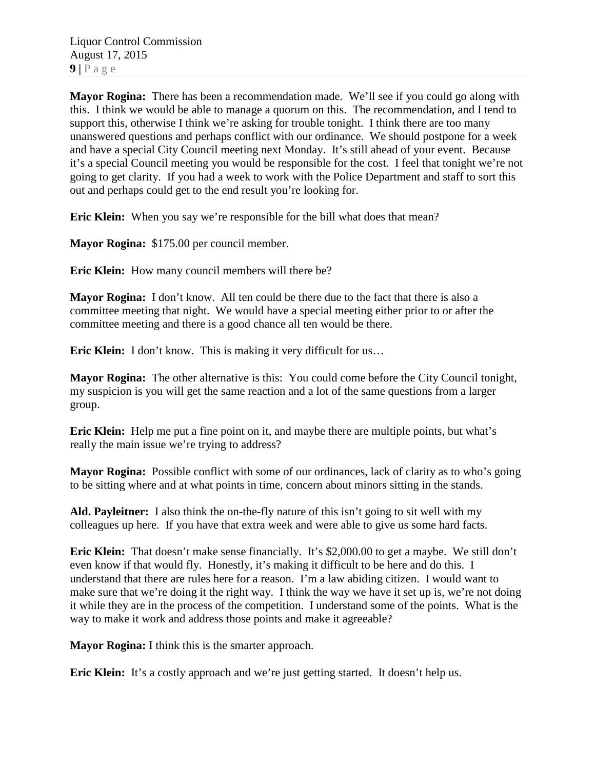**Mayor Rogina:** There has been a recommendation made. We'll see if you could go along with this. I think we would be able to manage a quorum on this. The recommendation, and I tend to support this, otherwise I think we're asking for trouble tonight. I think there are too many unanswered questions and perhaps conflict with our ordinance. We should postpone for a week and have a special City Council meeting next Monday. It's still ahead of your event. Because it's a special Council meeting you would be responsible for the cost. I feel that tonight we're not going to get clarity. If you had a week to work with the Police Department and staff to sort this out and perhaps could get to the end result you're looking for.

**Eric Klein:** When you say we're responsible for the bill what does that mean?

**Mayor Rogina:** \$175.00 per council member.

**Eric Klein:** How many council members will there be?

**Mayor Rogina:** I don't know. All ten could be there due to the fact that there is also a committee meeting that night. We would have a special meeting either prior to or after the committee meeting and there is a good chance all ten would be there.

**Eric Klein:** I don't know. This is making it very difficult for us...

**Mayor Rogina:** The other alternative is this: You could come before the City Council tonight, my suspicion is you will get the same reaction and a lot of the same questions from a larger group.

**Eric Klein:** Help me put a fine point on it, and maybe there are multiple points, but what's really the main issue we're trying to address?

**Mayor Rogina:** Possible conflict with some of our ordinances, lack of clarity as to who's going to be sitting where and at what points in time, concern about minors sitting in the stands.

**Ald. Payleitner:** I also think the on-the-fly nature of this isn't going to sit well with my colleagues up here. If you have that extra week and were able to give us some hard facts.

**Eric Klein:** That doesn't make sense financially. It's \$2,000.00 to get a maybe. We still don't even know if that would fly. Honestly, it's making it difficult to be here and do this. I understand that there are rules here for a reason. I'm a law abiding citizen. I would want to make sure that we're doing it the right way. I think the way we have it set up is, we're not doing it while they are in the process of the competition. I understand some of the points. What is the way to make it work and address those points and make it agreeable?

**Mayor Rogina:** I think this is the smarter approach.

**Eric Klein:** It's a costly approach and we're just getting started. It doesn't help us.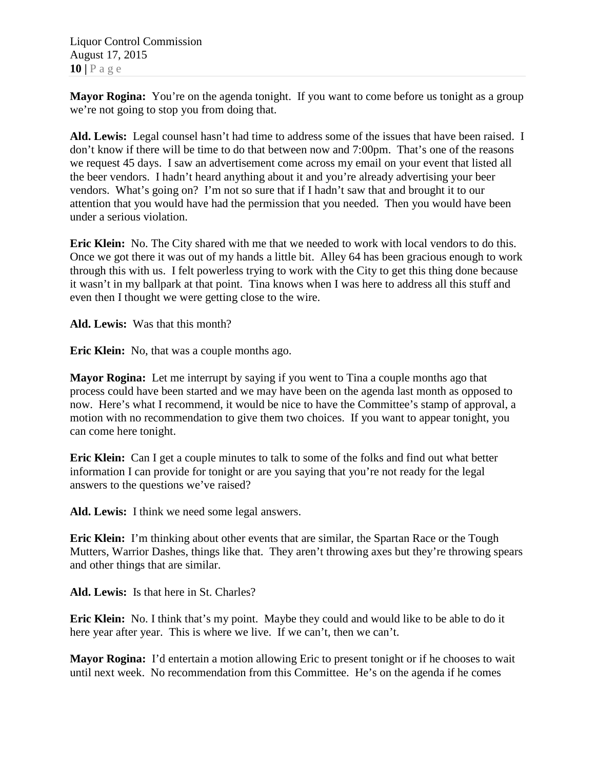Liquor Control Commission August 17, 2015 **10 |** Page

**Mayor Rogina:** You're on the agenda tonight. If you want to come before us tonight as a group we're not going to stop you from doing that.

**Ald. Lewis:** Legal counsel hasn't had time to address some of the issues that have been raised. I don't know if there will be time to do that between now and 7:00pm. That's one of the reasons we request 45 days. I saw an advertisement come across my email on your event that listed all the beer vendors. I hadn't heard anything about it and you're already advertising your beer vendors. What's going on? I'm not so sure that if I hadn't saw that and brought it to our attention that you would have had the permission that you needed. Then you would have been under a serious violation.

**Eric Klein:** No. The City shared with me that we needed to work with local vendors to do this. Once we got there it was out of my hands a little bit. Alley 64 has been gracious enough to work through this with us. I felt powerless trying to work with the City to get this thing done because it wasn't in my ballpark at that point. Tina knows when I was here to address all this stuff and even then I thought we were getting close to the wire.

**Ald. Lewis:** Was that this month?

**Eric Klein:** No, that was a couple months ago.

**Mayor Rogina:** Let me interrupt by saying if you went to Tina a couple months ago that process could have been started and we may have been on the agenda last month as opposed to now. Here's what I recommend, it would be nice to have the Committee's stamp of approval, a motion with no recommendation to give them two choices. If you want to appear tonight, you can come here tonight.

**Eric Klein:** Can I get a couple minutes to talk to some of the folks and find out what better information I can provide for tonight or are you saying that you're not ready for the legal answers to the questions we've raised?

**Ald. Lewis:** I think we need some legal answers.

**Eric Klein:** I'm thinking about other events that are similar, the Spartan Race or the Tough Mutters, Warrior Dashes, things like that. They aren't throwing axes but they're throwing spears and other things that are similar.

**Ald. Lewis:** Is that here in St. Charles?

**Eric Klein:** No. I think that's my point. Maybe they could and would like to be able to do it here year after year. This is where we live. If we can't, then we can't.

**Mayor Rogina:** I'd entertain a motion allowing Eric to present tonight or if he chooses to wait until next week. No recommendation from this Committee. He's on the agenda if he comes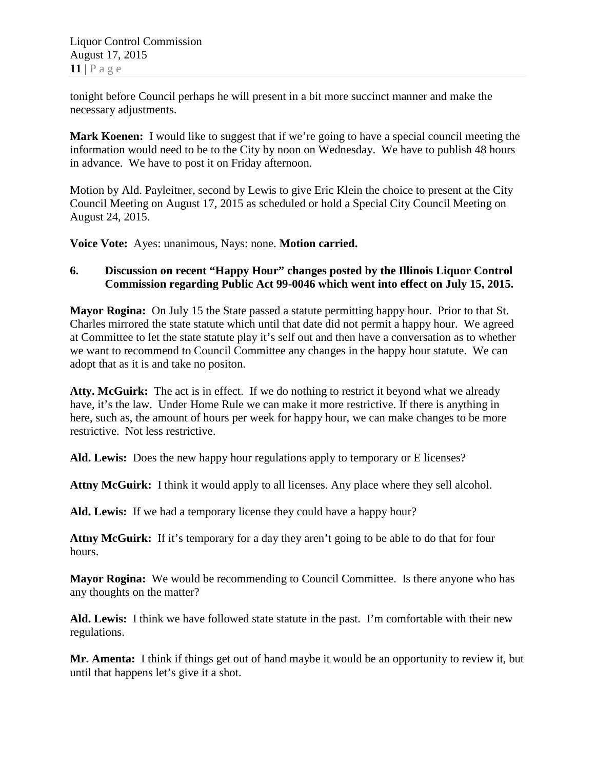tonight before Council perhaps he will present in a bit more succinct manner and make the necessary adjustments.

**Mark Koenen:** I would like to suggest that if we're going to have a special council meeting the information would need to be to the City by noon on Wednesday. We have to publish 48 hours in advance. We have to post it on Friday afternoon.

Motion by Ald. Payleitner, second by Lewis to give Eric Klein the choice to present at the City Council Meeting on August 17, 2015 as scheduled or hold a Special City Council Meeting on August 24, 2015.

**Voice Vote:** Ayes: unanimous, Nays: none. **Motion carried.**

## **6. Discussion on recent "Happy Hour" changes posted by the Illinois Liquor Control Commission regarding Public Act 99-0046 which went into effect on July 15, 2015.**

**Mayor Rogina:** On July 15 the State passed a statute permitting happy hour. Prior to that St. Charles mirrored the state statute which until that date did not permit a happy hour. We agreed at Committee to let the state statute play it's self out and then have a conversation as to whether we want to recommend to Council Committee any changes in the happy hour statute. We can adopt that as it is and take no positon.

**Atty. McGuirk:** The act is in effect. If we do nothing to restrict it beyond what we already have, it's the law. Under Home Rule we can make it more restrictive. If there is anything in here, such as, the amount of hours per week for happy hour, we can make changes to be more restrictive. Not less restrictive.

**Ald. Lewis:** Does the new happy hour regulations apply to temporary or E licenses?

**Attny McGuirk:** I think it would apply to all licenses. Any place where they sell alcohol.

**Ald. Lewis:** If we had a temporary license they could have a happy hour?

**Attny McGuirk:** If it's temporary for a day they aren't going to be able to do that for four hours.

**Mayor Rogina:** We would be recommending to Council Committee. Is there anyone who has any thoughts on the matter?

**Ald. Lewis:** I think we have followed state statute in the past. I'm comfortable with their new regulations.

**Mr. Amenta:** I think if things get out of hand maybe it would be an opportunity to review it, but until that happens let's give it a shot.